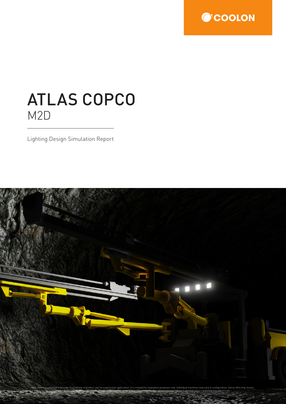

## ATLAS COPCO M2D

Lighting Design Simulation Report

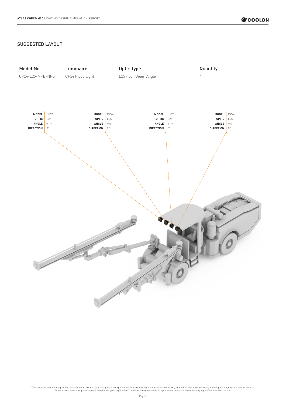## SUGGESTED LAYOUT

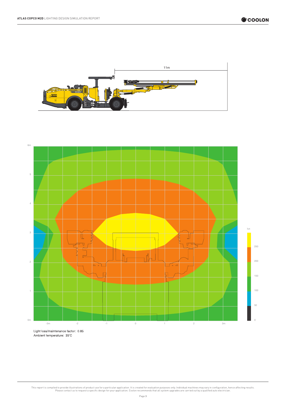![](_page_2_Picture_2.jpeg)

![](_page_2_Figure_3.jpeg)

Ambient temperature: 35°C

This report is compiled to provide illustrations of product use for a particular application. It is created for evaluation purposes only. Individual machines may vary in configuration, hence affecting results.<br>Please conta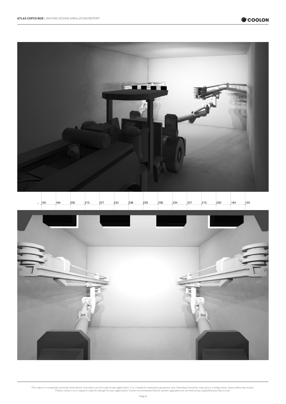![](_page_3_Picture_1.jpeg)

![](_page_3_Picture_2.jpeg)

This report is compiled to provide illustrations of product use for a particular application. It is created for evaluation purposes only. Individual machines may vary in configuration, hence affecting results.<br>Please conta